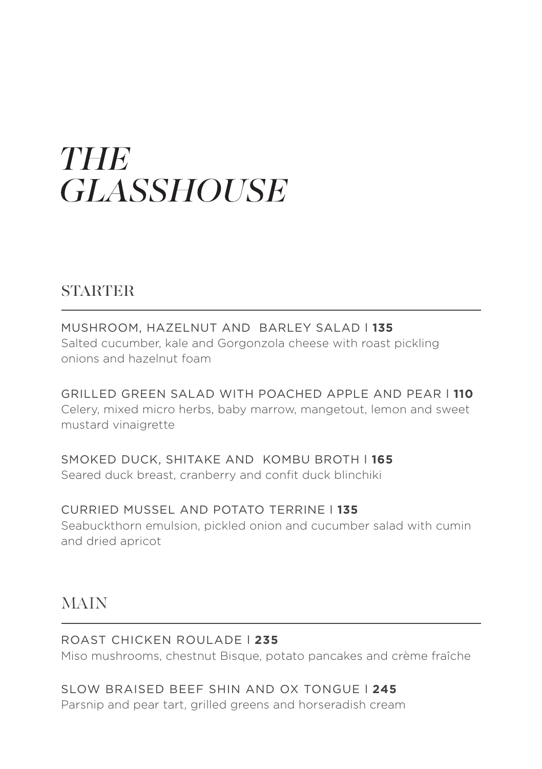# THE **GLASSHOUSE**

### **STARTER**

MUSHROOM, HAZELNUT AND BARLEY SALAD l **135** Salted cucumber, kale and Gorgonzola cheese with roast pickling onions and hazelnut foam

GRILLED GREEN SALAD WITH POACHED APPLE AND PEAR l **110** Celery, mixed micro herbs, baby marrow, mangetout, lemon and sweet mustard vinaigrette

SMOKED DUCK, SHITAKE AND KOMBU BROTH l **165** Seared duck breast, cranberry and confit duck blinchiki

CURRIED MUSSEL AND POTATO TERRINE l **135** Seabuckthorn emulsion, pickled onion and cucumber salad with cumin and dried apricot

## MAIN

ROAST CHICKEN ROULADE l **235** Miso mushrooms, chestnut Bisque, potato pancakes and crème fraîche

SLOW BRAISED BEEF SHIN AND OX TONGUE l **245** Parsnip and pear tart, grilled greens and horseradish cream